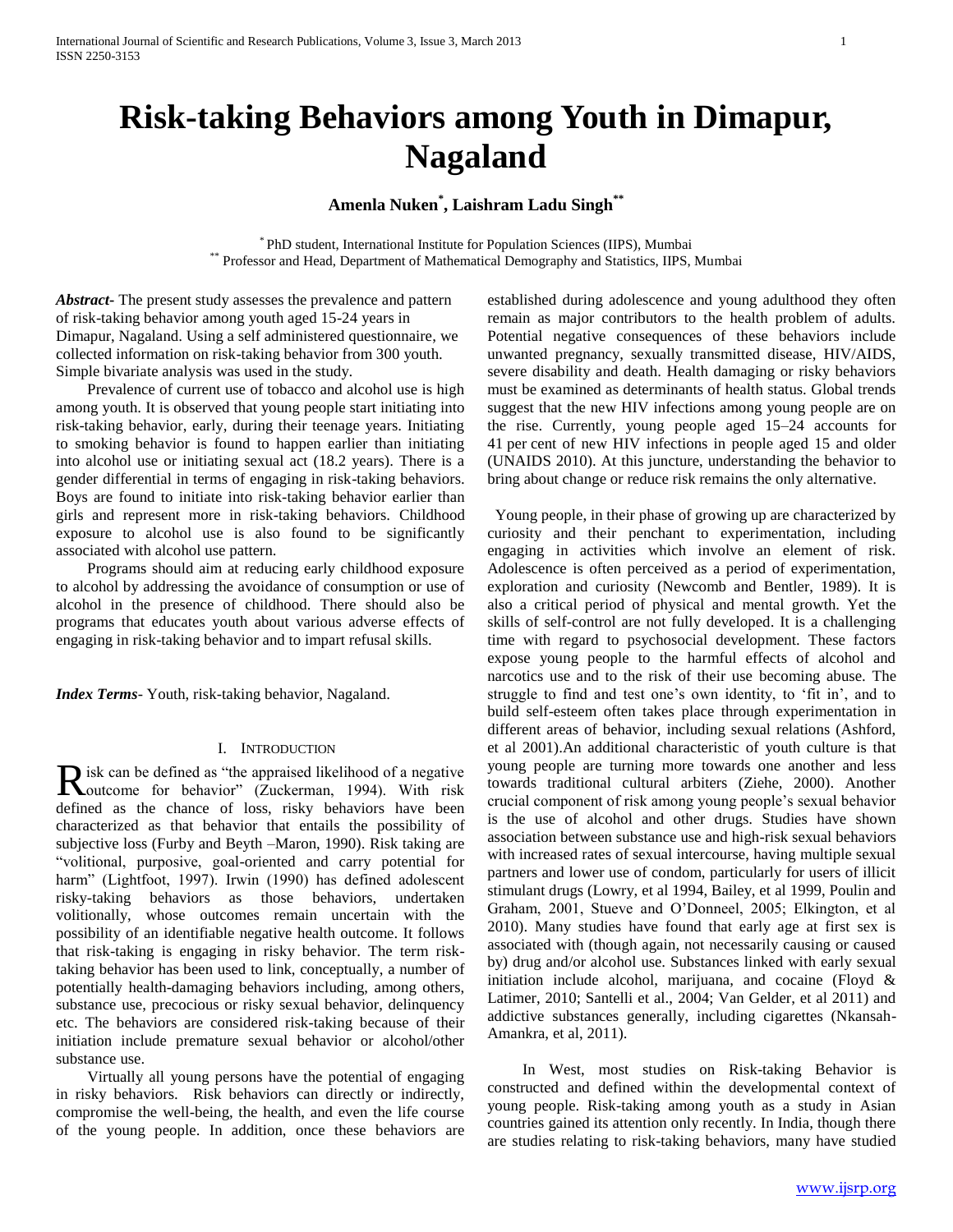# **Amenla Nuken\* , Laishram Ladu Singh\*\***

\* PhD student, International Institute for Population Sciences (IIPS), Mumbai \*\* Professor and Head, Department of Mathematical Demography and Statistics, IIPS, Mumbai

*Abstract***-** The present study assesses the prevalence and pattern of risk-taking behavior among youth aged 15-24 years in Dimapur, Nagaland. Using a self administered questionnaire, we collected information on risk-taking behavior from 300 youth. Simple bivariate analysis was used in the study.

 Prevalence of current use of tobacco and alcohol use is high among youth. It is observed that young people start initiating into risk-taking behavior, early, during their teenage years. Initiating to smoking behavior is found to happen earlier than initiating into alcohol use or initiating sexual act (18.2 years). There is a gender differential in terms of engaging in risk-taking behaviors. Boys are found to initiate into risk-taking behavior earlier than girls and represent more in risk-taking behaviors. Childhood exposure to alcohol use is also found to be significantly associated with alcohol use pattern.

 Programs should aim at reducing early childhood exposure to alcohol by addressing the avoidance of consumption or use of alcohol in the presence of childhood. There should also be programs that educates youth about various adverse effects of engaging in risk-taking behavior and to impart refusal skills.

*Index Terms*- Youth, risk-taking behavior, Nagaland.

# I. INTRODUCTION

isk can be defined as "the appraised likelihood of a negative R isk can be defined as "the appraised likelihood of a negative duction for behavior" (Zuckerman, 1994). With risk defined as the chance of loss, risky behaviors have been characterized as that behavior that entails the possibility of subjective loss (Furby and Beyth –Maron, 1990). Risk taking are "volitional, purposive, goal-oriented and carry potential for harm" (Lightfoot, 1997). Irwin (1990) has defined adolescent risky-taking behaviors as those behaviors, undertaken volitionally, whose outcomes remain uncertain with the possibility of an identifiable negative health outcome. It follows that risk-taking is engaging in risky behavior. The term risktaking behavior has been used to link, conceptually, a number of potentially health-damaging behaviors including, among others, substance use, precocious or risky sexual behavior, delinquency etc. The behaviors are considered risk-taking because of their initiation include premature sexual behavior or alcohol/other substance use.

 Virtually all young persons have the potential of engaging in risky behaviors. Risk behaviors can directly or indirectly, compromise the well-being, the health, and even the life course of the young people. In addition, once these behaviors are established during adolescence and young adulthood they often remain as major contributors to the health problem of adults. Potential negative consequences of these behaviors include unwanted pregnancy, sexually transmitted disease, HIV/AIDS, severe disability and death. Health damaging or risky behaviors must be examined as determinants of health status. Global trends suggest that the new HIV infections among young people are on the rise. Currently, young people aged 15–24 accounts for 41 per cent of new HIV infections in people aged 15 and older (UNAIDS 2010). At this juncture, understanding the behavior to bring about change or reduce risk remains the only alternative.

 Young people, in their phase of growing up are characterized by curiosity and their penchant to experimentation, including engaging in activities which involve an element of risk. Adolescence is often perceived as a period of experimentation, exploration and curiosity (Newcomb and Bentler, 1989). It is also a critical period of physical and mental growth. Yet the skills of self-control are not fully developed. It is a challenging time with regard to psychosocial development. These factors expose young people to the harmful effects of alcohol and narcotics use and to the risk of their use becoming abuse. The struggle to find and test one's own identity, to 'fit in', and to build self-esteem often takes place through experimentation in different areas of behavior, including sexual relations (Ashford, et al 2001).An additional characteristic of youth culture is that young people are turning more towards one another and less towards traditional cultural arbiters (Ziehe, 2000). Another crucial component of risk among young people's sexual behavior is the use of alcohol and other drugs. Studies have shown association between substance use and high-risk sexual behaviors with increased rates of sexual intercourse, having multiple sexual partners and lower use of condom, particularly for users of illicit stimulant drugs (Lowry, et al 1994, Bailey, et al 1999, Poulin and Graham, 2001, Stueve and O'Donneel, 2005; Elkington, et al 2010). Many studies have found that early age at first sex is associated with (though again, not necessarily causing or caused by) drug and/or alcohol use. Substances linked with early sexual initiation include alcohol, marijuana, and cocaine (Floyd & Latimer, 2010; Santelli et al., 2004; Van Gelder, et al 2011) and addictive substances generally, including cigarettes (Nkansah-Amankra, et al, 2011).

 In West, most studies on Risk-taking Behavior is constructed and defined within the developmental context of young people. Risk-taking among youth as a study in Asian countries gained its attention only recently. In India, though there are studies relating to risk-taking behaviors, many have studied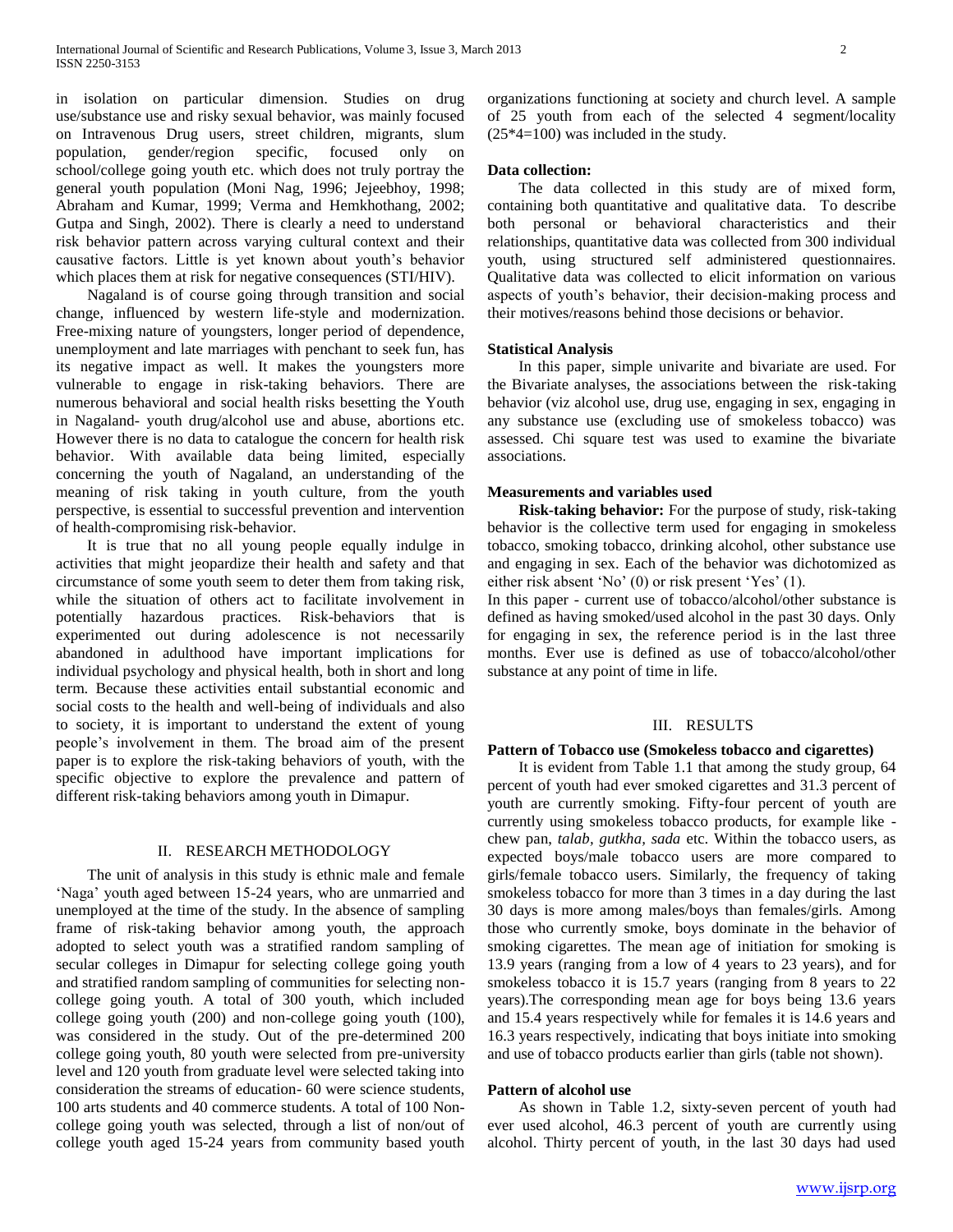in isolation on particular dimension. Studies on drug use/substance use and risky sexual behavior, was mainly focused on Intravenous Drug users, street children, migrants, slum population, gender/region specific, focused only on school/college going youth etc. which does not truly portray the general youth population (Moni Nag, 1996; Jejeebhoy, 1998; Abraham and Kumar, 1999; Verma and Hemkhothang, 2002; Gutpa and Singh, 2002). There is clearly a need to understand risk behavior pattern across varying cultural context and their causative factors. Little is yet known about youth's behavior which places them at risk for negative consequences (STI/HIV).

 Nagaland is of course going through transition and social change, influenced by western life-style and modernization. Free-mixing nature of youngsters, longer period of dependence, unemployment and late marriages with penchant to seek fun, has its negative impact as well. It makes the youngsters more vulnerable to engage in risk-taking behaviors. There are numerous behavioral and social health risks besetting the Youth in Nagaland- youth drug/alcohol use and abuse, abortions etc. However there is no data to catalogue the concern for health risk behavior. With available data being limited, especially concerning the youth of Nagaland, an understanding of the meaning of risk taking in youth culture, from the youth perspective, is essential to successful prevention and intervention of health-compromising risk-behavior.

 It is true that no all young people equally indulge in activities that might jeopardize their health and safety and that circumstance of some youth seem to deter them from taking risk, while the situation of others act to facilitate involvement in potentially hazardous practices. Risk-behaviors that is experimented out during adolescence is not necessarily abandoned in adulthood have important implications for individual psychology and physical health, both in short and long term. Because these activities entail substantial economic and social costs to the health and well-being of individuals and also to society, it is important to understand the extent of young people's involvement in them. The broad aim of the present paper is to explore the risk-taking behaviors of youth, with the specific objective to explore the prevalence and pattern of different risk-taking behaviors among youth in Dimapur.

## II. RESEARCH METHODOLOGY

 The unit of analysis in this study is ethnic male and female 'Naga' youth aged between 15-24 years, who are unmarried and unemployed at the time of the study. In the absence of sampling frame of risk-taking behavior among youth, the approach adopted to select youth was a stratified random sampling of secular colleges in Dimapur for selecting college going youth and stratified random sampling of communities for selecting noncollege going youth. A total of 300 youth, which included college going youth (200) and non-college going youth (100), was considered in the study. Out of the pre-determined 200 college going youth, 80 youth were selected from pre-university level and 120 youth from graduate level were selected taking into consideration the streams of education- 60 were science students, 100 arts students and 40 commerce students. A total of 100 Noncollege going youth was selected, through a list of non/out of college youth aged 15-24 years from community based youth organizations functioning at society and church level. A sample of 25 youth from each of the selected 4 segment/locality (25\*4=100) was included in the study.

# **Data collection:**

 The data collected in this study are of mixed form, containing both quantitative and qualitative data. To describe both personal or behavioral characteristics and their relationships, quantitative data was collected from 300 individual youth, using structured self administered questionnaires. Qualitative data was collected to elicit information on various aspects of youth's behavior, their decision-making process and their motives/reasons behind those decisions or behavior.

### **Statistical Analysis**

 In this paper, simple univarite and bivariate are used. For the Bivariate analyses, the associations between the risk-taking behavior (viz alcohol use, drug use, engaging in sex, engaging in any substance use (excluding use of smokeless tobacco) was assessed. Chi square test was used to examine the bivariate associations.

### **Measurements and variables used**

 **Risk-taking behavior:** For the purpose of study, risk-taking behavior is the collective term used for engaging in smokeless tobacco, smoking tobacco, drinking alcohol, other substance use and engaging in sex. Each of the behavior was dichotomized as either risk absent 'No' (0) or risk present 'Yes' (1).

In this paper - current use of tobacco/alcohol/other substance is defined as having smoked/used alcohol in the past 30 days. Only for engaging in sex, the reference period is in the last three months. Ever use is defined as use of tobacco/alcohol/other substance at any point of time in life.

# III. RESULTS

### **Pattern of Tobacco use (Smokeless tobacco and cigarettes)**

 It is evident from Table 1.1 that among the study group, 64 percent of youth had ever smoked cigarettes and 31.3 percent of youth are currently smoking. Fifty-four percent of youth are currently using smokeless tobacco products, for example like chew pan, *talab, gutkha, sada* etc. Within the tobacco users, as expected boys/male tobacco users are more compared to girls/female tobacco users. Similarly, the frequency of taking smokeless tobacco for more than 3 times in a day during the last 30 days is more among males/boys than females/girls. Among those who currently smoke, boys dominate in the behavior of smoking cigarettes. The mean age of initiation for smoking is 13.9 years (ranging from a low of 4 years to 23 years), and for smokeless tobacco it is 15.7 years (ranging from 8 years to 22 years).The corresponding mean age for boys being 13.6 years and 15.4 years respectively while for females it is 14.6 years and 16.3 years respectively, indicating that boys initiate into smoking and use of tobacco products earlier than girls (table not shown).

# **Pattern of alcohol use**

 As shown in Table 1.2, sixty-seven percent of youth had ever used alcohol, 46.3 percent of youth are currently using alcohol. Thirty percent of youth, in the last 30 days had used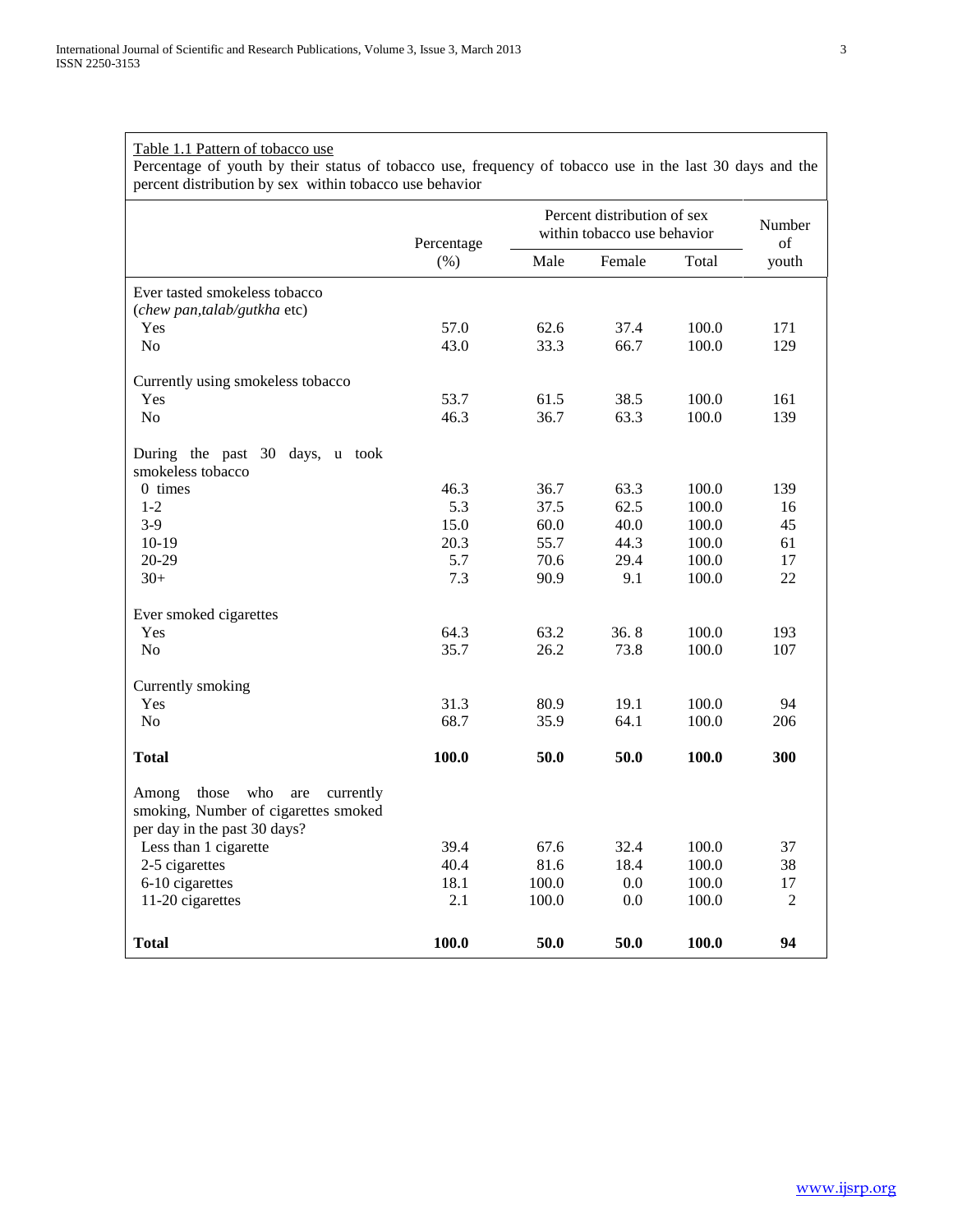Table 1.1 Pattern of tobacco use

|                                           | Percentage | Percent distribution of sex<br>within tobacco use behavior |        |       | Number<br>of |
|-------------------------------------------|------------|------------------------------------------------------------|--------|-------|--------------|
|                                           | (%)        | Male                                                       | Female | Total | youth        |
| Ever tasted smokeless tobacco             |            |                                                            |        |       |              |
| (chew pan,talab/gutkha etc)               |            |                                                            |        |       |              |
| Yes                                       | 57.0       | 62.6                                                       | 37.4   | 100.0 | 171          |
| No                                        | 43.0       | 33.3                                                       | 66.7   | 100.0 | 129          |
| Currently using smokeless tobacco         |            |                                                            |        |       |              |
| Yes                                       | 53.7       | 61.5                                                       | 38.5   | 100.0 | 161          |
| N <sub>o</sub>                            | 46.3       | 36.7                                                       | 63.3   | 100.0 | 139          |
| During the past 30 days, u took           |            |                                                            |        |       |              |
| smokeless tobacco                         |            |                                                            |        |       |              |
| $0$ times                                 | 46.3       | 36.7                                                       | 63.3   | 100.0 | 139          |
| $1 - 2$                                   | 5.3        | 37.5                                                       | 62.5   | 100.0 | 16           |
| $3-9$                                     | 15.0       | 60.0                                                       | 40.0   | 100.0 | 45           |
| $10-19$                                   | 20.3       | 55.7                                                       | 44.3   | 100.0 | 61           |
| 20-29                                     | 5.7        | 70.6                                                       | 29.4   | 100.0 | 17           |
| $30+$                                     | 7.3        | 90.9                                                       | 9.1    | 100.0 | 22           |
| Ever smoked cigarettes                    |            |                                                            |        |       |              |
| Yes                                       | 64.3       | 63.2                                                       | 36.8   | 100.0 | 193          |
| No                                        | 35.7       | 26.2                                                       | 73.8   | 100.0 | 107          |
| Currently smoking                         |            |                                                            |        |       |              |
| Yes                                       | 31.3       | 80.9                                                       | 19.1   | 100.0 | 94           |
| N <sub>0</sub>                            | 68.7       | 35.9                                                       | 64.1   | 100.0 | 206          |
| <b>Total</b>                              | 100.0      | 50.0                                                       | 50.0   | 100.0 | 300          |
| Among<br>those<br>who<br>currently<br>are |            |                                                            |        |       |              |
| smoking, Number of cigarettes smoked      |            |                                                            |        |       |              |
| per day in the past 30 days?              |            |                                                            |        |       |              |
| Less than 1 cigarette                     | 39.4       | 67.6                                                       | 32.4   | 100.0 | 37           |
| 2-5 cigarettes                            | 40.4       | 81.6                                                       | 18.4   | 100.0 | 38           |
| 6-10 cigarettes                           | 18.1       | 100.0                                                      | 0.0    | 100.0 | 17           |
| 11-20 cigarettes                          | 2.1        | 100.0                                                      | 0.0    | 100.0 | $\sqrt{2}$   |
| <b>Total</b>                              | 100.0      | 50.0                                                       | 50.0   | 100.0 | 94           |

Percentage of youth by their status of tobacco use, frequency of tobacco use in the last 30 days and the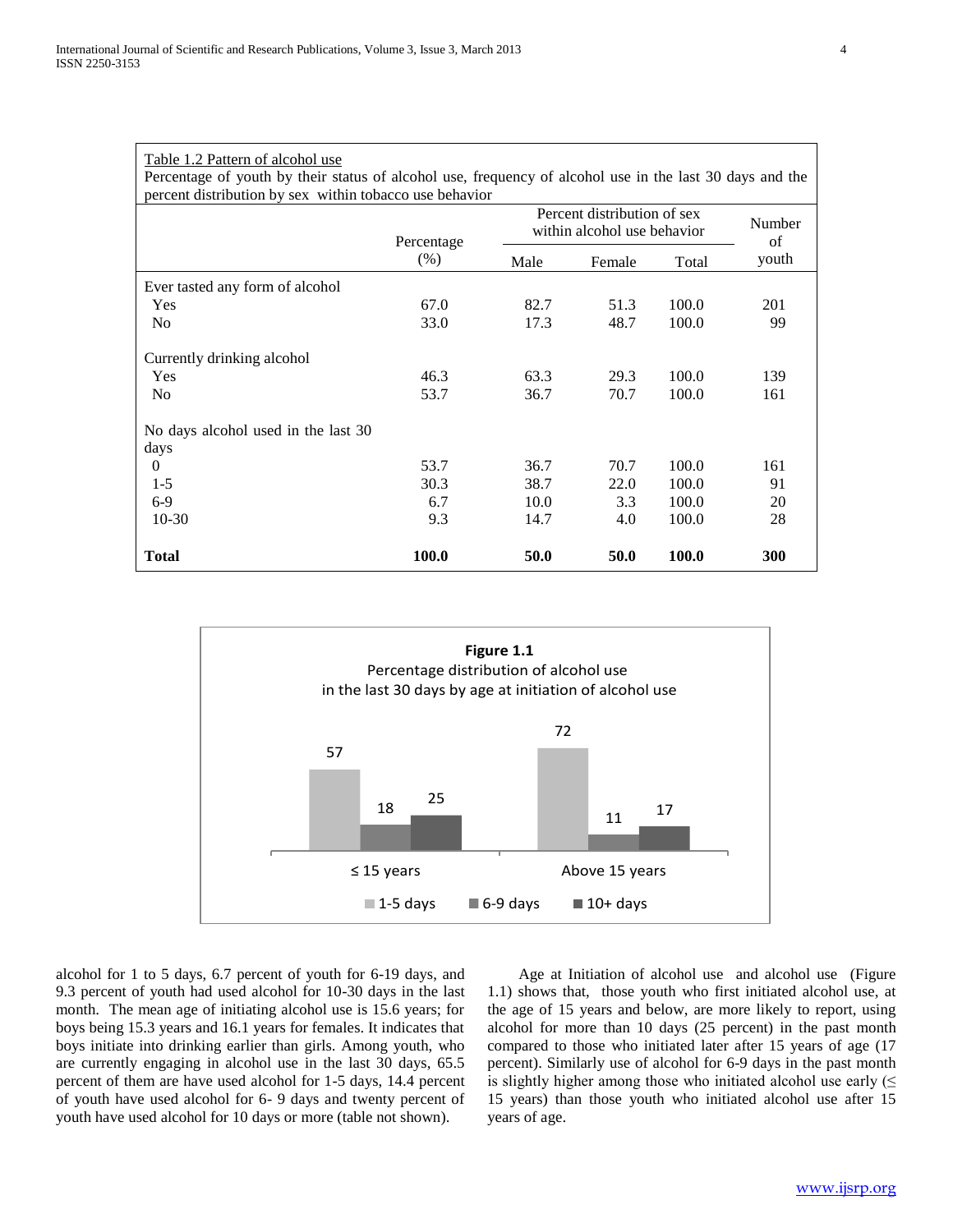| Table 1.2 Pattern of alcohol use<br>Percentage of youth by their status of alcohol use, frequency of alcohol use in the last 30 days and the<br>percent distribution by sex within tobacco use behavior |              |      |                                                            |       |            |
|---------------------------------------------------------------------------------------------------------------------------------------------------------------------------------------------------------|--------------|------|------------------------------------------------------------|-------|------------|
|                                                                                                                                                                                                         | Percentage   |      | Percent distribution of sex<br>within alcohol use behavior |       |            |
|                                                                                                                                                                                                         | $(\% )$      | Male | Female                                                     | Total | youth      |
| Ever tasted any form of alcohol                                                                                                                                                                         |              |      |                                                            |       |            |
| Yes                                                                                                                                                                                                     | 67.0         | 82.7 | 51.3                                                       | 100.0 | 201        |
| N <sub>0</sub>                                                                                                                                                                                          | 33.0         | 17.3 | 48.7                                                       | 100.0 | 99         |
| Currently drinking alcohol                                                                                                                                                                              |              |      |                                                            |       |            |
| Yes                                                                                                                                                                                                     | 46.3         | 63.3 | 29.3                                                       | 100.0 | 139        |
| N <sub>0</sub>                                                                                                                                                                                          | 53.7         | 36.7 | 70.7                                                       | 100.0 | 161        |
| No days alcohol used in the last 30                                                                                                                                                                     |              |      |                                                            |       |            |
| days                                                                                                                                                                                                    |              |      |                                                            |       |            |
| $\Omega$                                                                                                                                                                                                | 53.7         | 36.7 | 70.7                                                       | 100.0 | 161        |
| $1-5$                                                                                                                                                                                                   | 30.3         | 38.7 | 22.0                                                       | 100.0 | 91         |
| $6-9$                                                                                                                                                                                                   | 6.7          | 10.0 | 3.3                                                        | 100.0 | 20         |
| $10-30$                                                                                                                                                                                                 | 9.3          | 14.7 | 4.0                                                        | 100.0 | 28         |
| <b>Total</b>                                                                                                                                                                                            | <b>100.0</b> | 50.0 | 50.0                                                       | 100.0 | <b>300</b> |



alcohol for 1 to 5 days, 6.7 percent of youth for 6-19 days, and 9.3 percent of youth had used alcohol for 10-30 days in the last month. The mean age of initiating alcohol use is 15.6 years; for boys being 15.3 years and 16.1 years for females. It indicates that boys initiate into drinking earlier than girls. Among youth, who are currently engaging in alcohol use in the last 30 days, 65.5 percent of them are have used alcohol for 1-5 days, 14.4 percent of youth have used alcohol for 6- 9 days and twenty percent of youth have used alcohol for 10 days or more (table not shown).

 Age at Initiation of alcohol use and alcohol use (Figure 1.1) shows that, those youth who first initiated alcohol use, at the age of 15 years and below, are more likely to report, using alcohol for more than 10 days (25 percent) in the past month compared to those who initiated later after 15 years of age (17 percent). Similarly use of alcohol for 6-9 days in the past month is slightly higher among those who initiated alcohol use early  $(\leq$ 15 years) than those youth who initiated alcohol use after 15 years of age.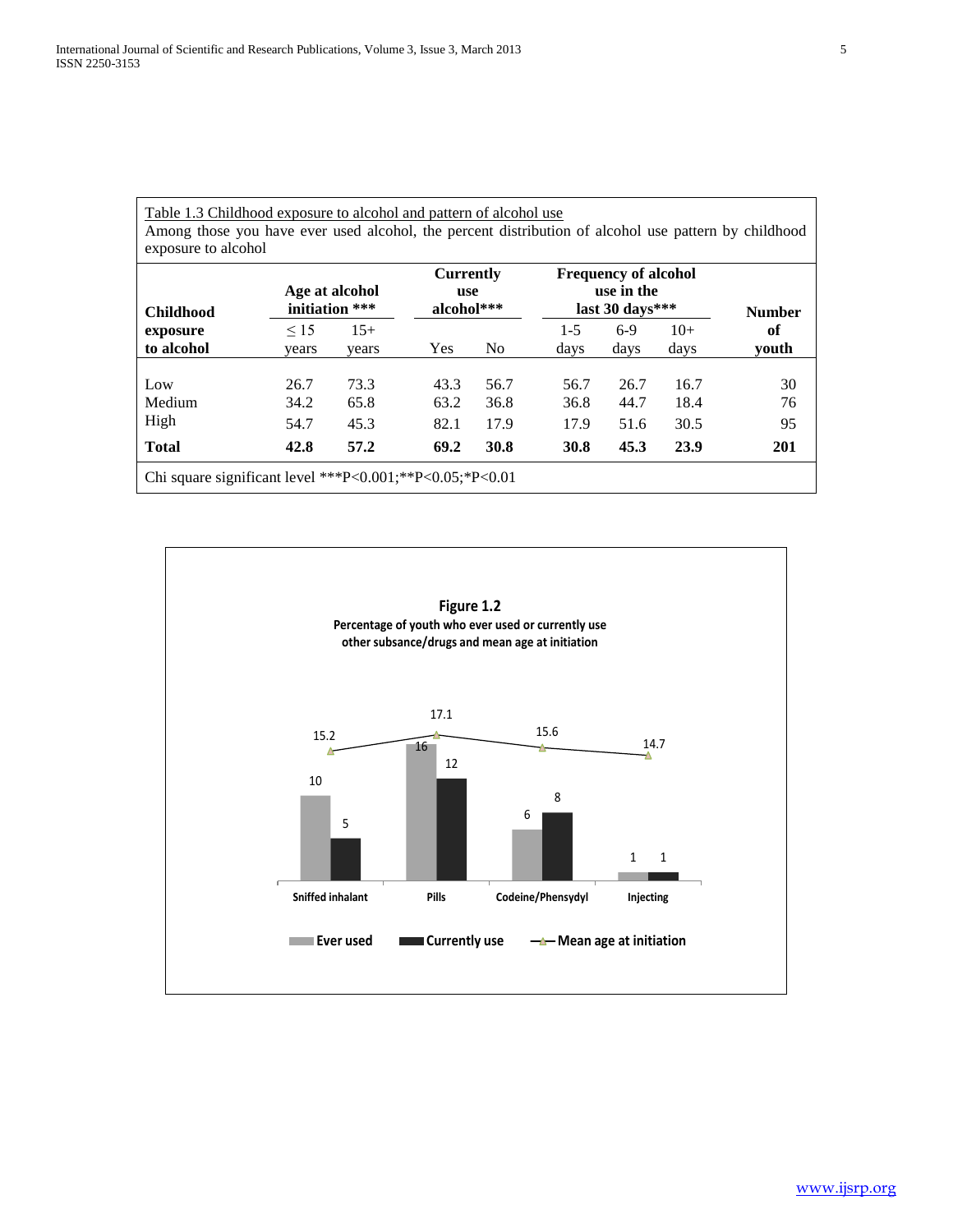# Table 1.3 Childhood exposure to alcohol and pattern of alcohol use Among those you have ever used alcohol, the percent distribution of alcohol use pattern by childhood exposure to alcohol

| <b>Childhood</b>                                         |                      | Age at alcohol<br>initiation *** | <b>Currently</b><br>use<br>alcohol*** |                      | <b>Frequency of alcohol</b><br>use in the<br>last 30 days*** |                      |                      | <b>Number</b>  |
|----------------------------------------------------------|----------------------|----------------------------------|---------------------------------------|----------------------|--------------------------------------------------------------|----------------------|----------------------|----------------|
| exposure                                                 | $\leq$ 15            | $15+$                            |                                       |                      | $1 - 5$                                                      | $6-9$                | $10+$                | of             |
| to alcohol                                               | years                | years                            | Yes                                   | N <sub>0</sub>       | days                                                         | days                 | days                 | <b>vouth</b>   |
| Low<br>Medium<br>High                                    | 26.7<br>34.2<br>54.7 | 73.3<br>65.8<br>45.3             | 43.3<br>63.2<br>82.1                  | 56.7<br>36.8<br>17.9 | 56.7<br>36.8<br>17.9                                         | 26.7<br>44.7<br>51.6 | 16.7<br>18.4<br>30.5 | 30<br>76<br>95 |
| <b>Total</b>                                             | 42.8                 | 57.2                             | 69.2                                  | 30.8                 | 30.8                                                         | 45.3                 | 23.9                 | 201            |
| Chi square significant level ***P<0.001;**P<0.05;*P<0.01 |                      |                                  |                                       |                      |                                                              |                      |                      |                |

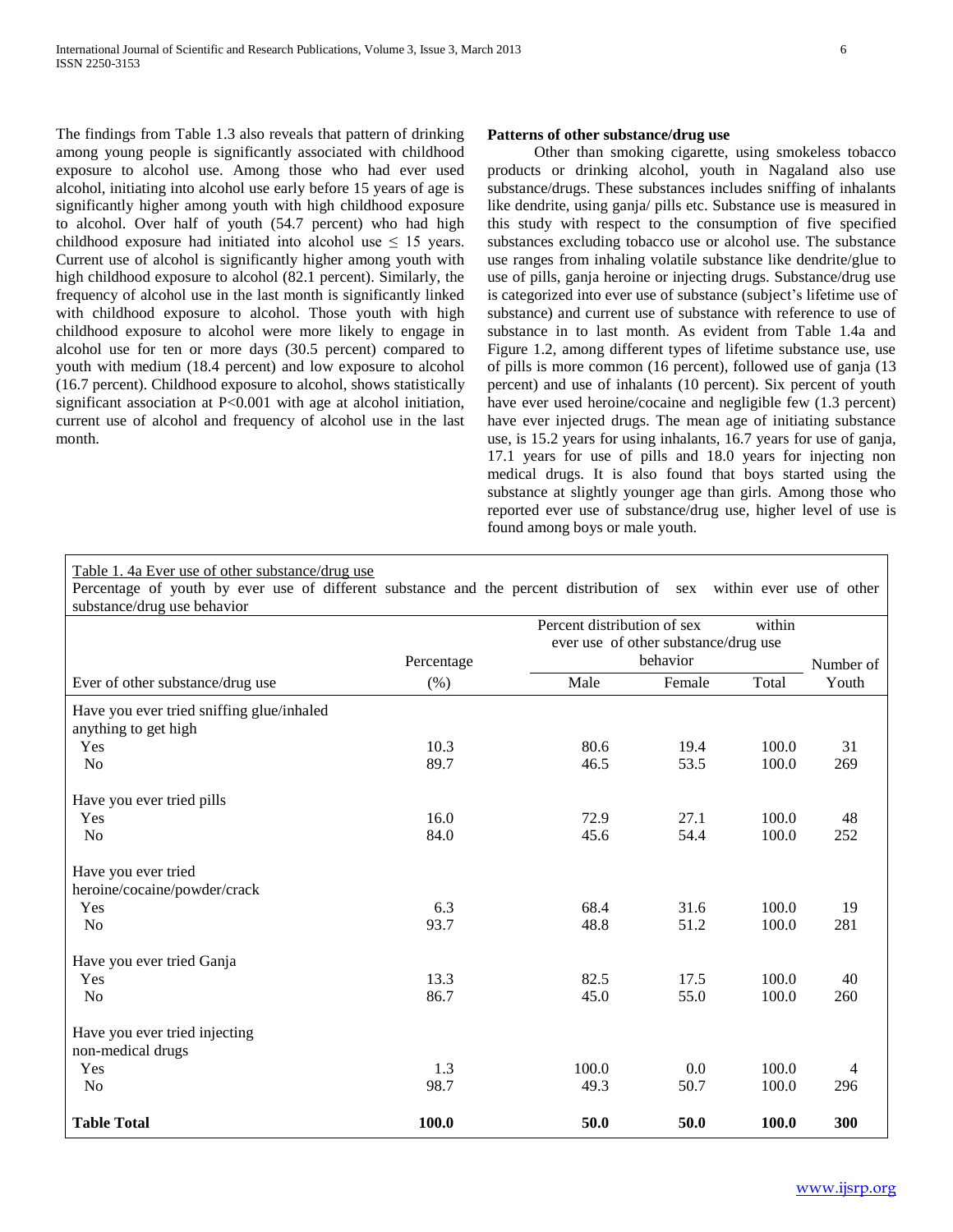The findings from Table 1.3 also reveals that pattern of drinking among young people is significantly associated with childhood exposure to alcohol use. Among those who had ever used alcohol, initiating into alcohol use early before 15 years of age is significantly higher among youth with high childhood exposure to alcohol. Over half of youth (54.7 percent) who had high childhood exposure had initiated into alcohol use  $\leq 15$  years. Current use of alcohol is significantly higher among youth with high childhood exposure to alcohol (82.1 percent). Similarly, the frequency of alcohol use in the last month is significantly linked with childhood exposure to alcohol. Those youth with high childhood exposure to alcohol were more likely to engage in alcohol use for ten or more days (30.5 percent) compared to youth with medium (18.4 percent) and low exposure to alcohol (16.7 percent). Childhood exposure to alcohol, shows statistically significant association at P<0.001 with age at alcohol initiation, current use of alcohol and frequency of alcohol use in the last month.

# **Patterns of other substance/drug use**

 Other than smoking cigarette, using smokeless tobacco products or drinking alcohol, youth in Nagaland also use substance/drugs. These substances includes sniffing of inhalants like dendrite, using ganja/ pills etc. Substance use is measured in this study with respect to the consumption of five specified substances excluding tobacco use or alcohol use. The substance use ranges from inhaling volatile substance like dendrite/glue to use of pills, ganja heroine or injecting drugs. Substance/drug use is categorized into ever use of substance (subject's lifetime use of substance) and current use of substance with reference to use of substance in to last month. As evident from Table 1.4a and Figure 1.2, among different types of lifetime substance use, use of pills is more common (16 percent), followed use of ganja (13 percent) and use of inhalants (10 percent). Six percent of youth have ever used heroine/cocaine and negligible few  $(1.3$  percent) have ever injected drugs. The mean age of initiating substance use, is 15.2 years for using inhalants, 16.7 years for use of ganja, 17.1 years for use of pills and 18.0 years for injecting non medical drugs. It is also found that boys started using the substance at slightly younger age than girls. Among those who reported ever use of substance/drug use, higher level of use is found among boys or male youth.

Table 1. 4a Ever use of other substance/drug use

Percentage of youth by ever use of different substance and the percent distribution of sex within ever use of other substance/drug use behavior

| substance/ urug use benavior              |            |                                       |                                      |       |           |
|-------------------------------------------|------------|---------------------------------------|--------------------------------------|-------|-----------|
|                                           |            | within<br>Percent distribution of sex |                                      |       |           |
|                                           |            |                                       | ever use of other substance/drug use |       |           |
|                                           | Percentage |                                       | behavior                             |       | Number of |
| Ever of other substance/drug use          | (% )       | Male                                  | Female                               | Total | Youth     |
| Have you ever tried sniffing glue/inhaled |            |                                       |                                      |       |           |
| anything to get high                      |            |                                       |                                      |       |           |
| Yes                                       | 10.3       | 80.6                                  | 19.4                                 | 100.0 | 31        |
| No                                        | 89.7       | 46.5                                  | 53.5                                 | 100.0 | 269       |
| Have you ever tried pills                 |            |                                       |                                      |       |           |
| Yes                                       | 16.0       | 72.9                                  | 27.1                                 | 100.0 | 48        |
| N <sub>o</sub>                            | 84.0       | 45.6                                  | 54.4                                 | 100.0 | 252       |
| Have you ever tried                       |            |                                       |                                      |       |           |
| heroine/cocaine/powder/crack              |            |                                       |                                      |       |           |
| Yes                                       | 6.3        | 68.4                                  | 31.6                                 | 100.0 | 19        |
| No                                        | 93.7       | 48.8                                  | 51.2                                 | 100.0 | 281       |
| Have you ever tried Ganja                 |            |                                       |                                      |       |           |
| Yes                                       | 13.3       | 82.5                                  | 17.5                                 | 100.0 | 40        |
| No                                        | 86.7       | 45.0                                  | 55.0                                 | 100.0 | 260       |
| Have you ever tried injecting             |            |                                       |                                      |       |           |
| non-medical drugs                         |            |                                       |                                      |       |           |
| Yes                                       | 1.3        | 100.0                                 | 0.0                                  | 100.0 |           |
| N <sub>o</sub>                            | 98.7       | 49.3                                  | 50.7                                 | 100.0 | 296       |
| <b>Table Total</b>                        | 100.0      | 50.0                                  | 50.0                                 | 100.0 | 300       |
|                                           |            |                                       |                                      |       |           |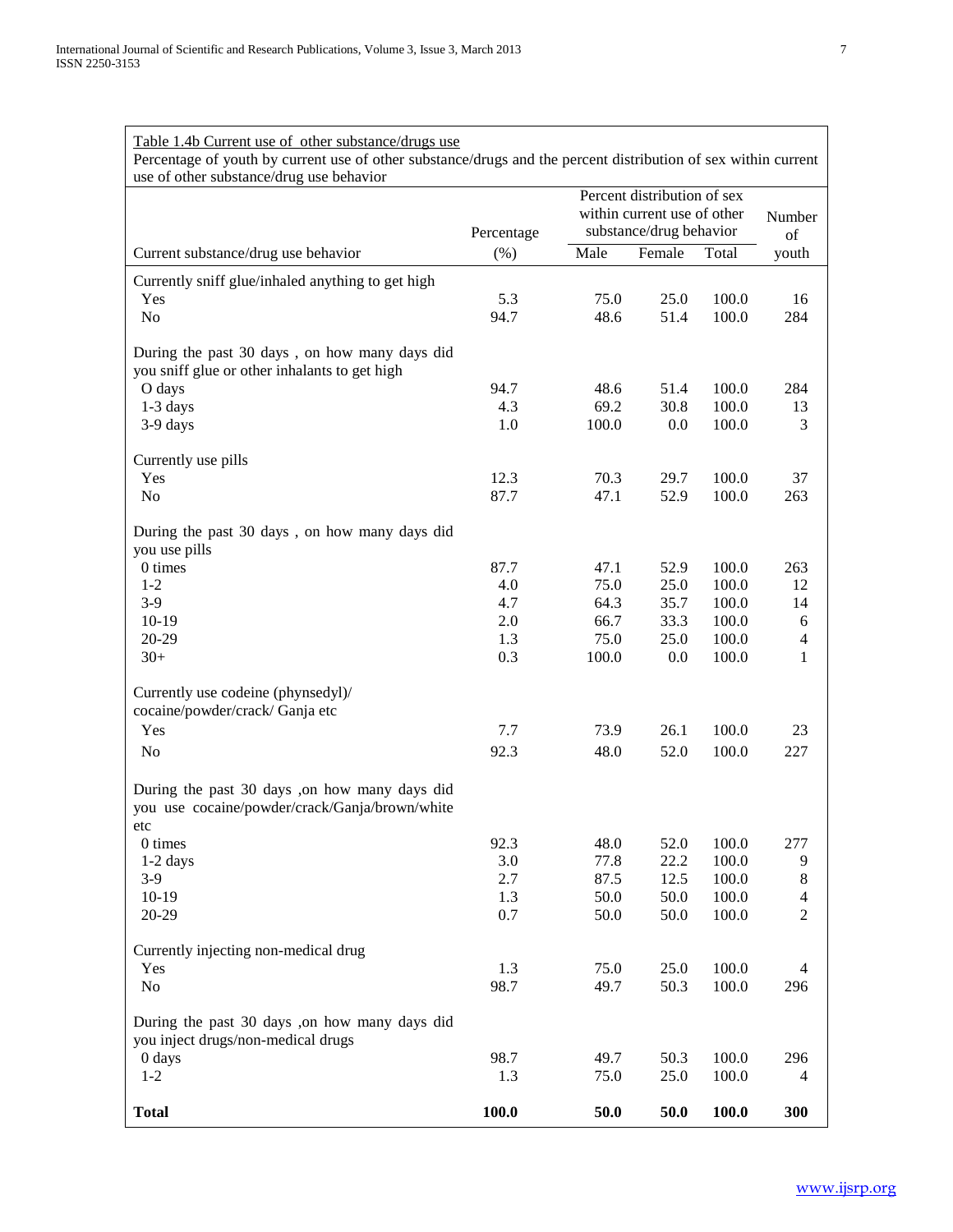| Table 1.4b Current use of other substance/drugs use<br>Percentage of youth by current use of other substance/drugs and the percent distribution of sex within current<br>use of other substance/drug use behavior |            |                             |                                                        |                |                     |
|-------------------------------------------------------------------------------------------------------------------------------------------------------------------------------------------------------------------|------------|-----------------------------|--------------------------------------------------------|----------------|---------------------|
|                                                                                                                                                                                                                   |            | Percent distribution of sex |                                                        |                |                     |
|                                                                                                                                                                                                                   | Percentage |                             | within current use of other<br>substance/drug behavior |                | Number<br>of        |
| Current substance/drug use behavior                                                                                                                                                                               | (% )       | Male                        | Female                                                 | Total          | youth               |
| Currently sniff glue/inhaled anything to get high                                                                                                                                                                 |            |                             |                                                        |                |                     |
| Yes                                                                                                                                                                                                               | 5.3        | 75.0                        | 25.0                                                   | 100.0          | 16                  |
| No                                                                                                                                                                                                                | 94.7       | 48.6                        | 51.4                                                   | 100.0          | 284                 |
| During the past 30 days, on how many days did<br>you sniff glue or other inhalants to get high                                                                                                                    |            |                             |                                                        |                |                     |
| O days                                                                                                                                                                                                            | 94.7       | 48.6                        | 51.4                                                   | 100.0          | 284                 |
| $1-3$ days                                                                                                                                                                                                        | 4.3        | 69.2                        | 30.8                                                   | 100.0          | 13                  |
| 3-9 days                                                                                                                                                                                                          | 1.0        | 100.0                       | 0.0                                                    | 100.0          | 3                   |
| Currently use pills                                                                                                                                                                                               |            |                             |                                                        |                |                     |
| Yes                                                                                                                                                                                                               | 12.3       | 70.3                        | 29.7                                                   | 100.0          | 37                  |
| No                                                                                                                                                                                                                | 87.7       | 47.1                        | 52.9                                                   | 100.0          | 263                 |
| During the past 30 days, on how many days did<br>you use pills                                                                                                                                                    |            |                             |                                                        |                |                     |
| 0 times                                                                                                                                                                                                           | 87.7       | 47.1                        | 52.9                                                   | 100.0          | 263                 |
| $1 - 2$                                                                                                                                                                                                           | 4.0        | 75.0                        | 25.0                                                   | 100.0          | 12                  |
| $3-9$<br>$10-19$                                                                                                                                                                                                  | 4.7<br>2.0 | 64.3                        | 35.7                                                   | 100.0<br>100.0 | 14                  |
| 20-29                                                                                                                                                                                                             | 1.3        | 66.7<br>75.0                | 33.3<br>25.0                                           | 100.0          | 6<br>$\overline{4}$ |
| $30+$                                                                                                                                                                                                             | 0.3        | 100.0                       | 0.0                                                    | 100.0          | 1                   |
| Currently use codeine (phynsedyl)/                                                                                                                                                                                |            |                             |                                                        |                |                     |
| cocaine/powder/crack/ Ganja etc                                                                                                                                                                                   |            |                             |                                                        |                |                     |
| Yes                                                                                                                                                                                                               | 7.7        | 73.9                        | 26.1                                                   | 100.0          | 23                  |
| $\rm No$                                                                                                                                                                                                          | 92.3       | 48.0                        | 52.0                                                   | 100.0          | 227                 |
| During the past 30 days ,on how many days did<br>you use cocaine/powder/crack/Ganja/brown/white<br>etc                                                                                                            |            |                             |                                                        |                |                     |
| 0 times                                                                                                                                                                                                           | 92.3       | 48.0                        | 52.0                                                   | 100.0          | 277                 |
| $1-2$ days                                                                                                                                                                                                        | 3.0        | 77.8                        | 22.2                                                   | 100.0          | 9                   |
| $3-9$                                                                                                                                                                                                             | 2.7        | 87.5                        | 12.5                                                   | 100.0          | $\,8\,$             |
| $10-19$                                                                                                                                                                                                           | 1.3        | 50.0                        | 50.0                                                   | 100.0          | $\overline{4}$      |
| 20-29                                                                                                                                                                                                             | 0.7        | 50.0                        | 50.0                                                   | 100.0          | $\overline{2}$      |
| Currently injecting non-medical drug                                                                                                                                                                              |            |                             |                                                        |                |                     |
| Yes                                                                                                                                                                                                               | 1.3        | 75.0                        | 25.0                                                   | 100.0          | 4                   |
| No                                                                                                                                                                                                                | 98.7       | 49.7                        | 50.3                                                   | 100.0          | 296                 |
| During the past 30 days ,on how many days did<br>you inject drugs/non-medical drugs                                                                                                                               |            |                             |                                                        |                |                     |
| $0$ days                                                                                                                                                                                                          | 98.7       | 49.7                        | 50.3                                                   | 100.0          | 296                 |
| $1 - 2$                                                                                                                                                                                                           | 1.3        | 75.0                        | 25.0                                                   | 100.0          | 4                   |
| <b>Total</b>                                                                                                                                                                                                      | 100.0      | 50.0                        | 50.0                                                   | 100.0          | 300                 |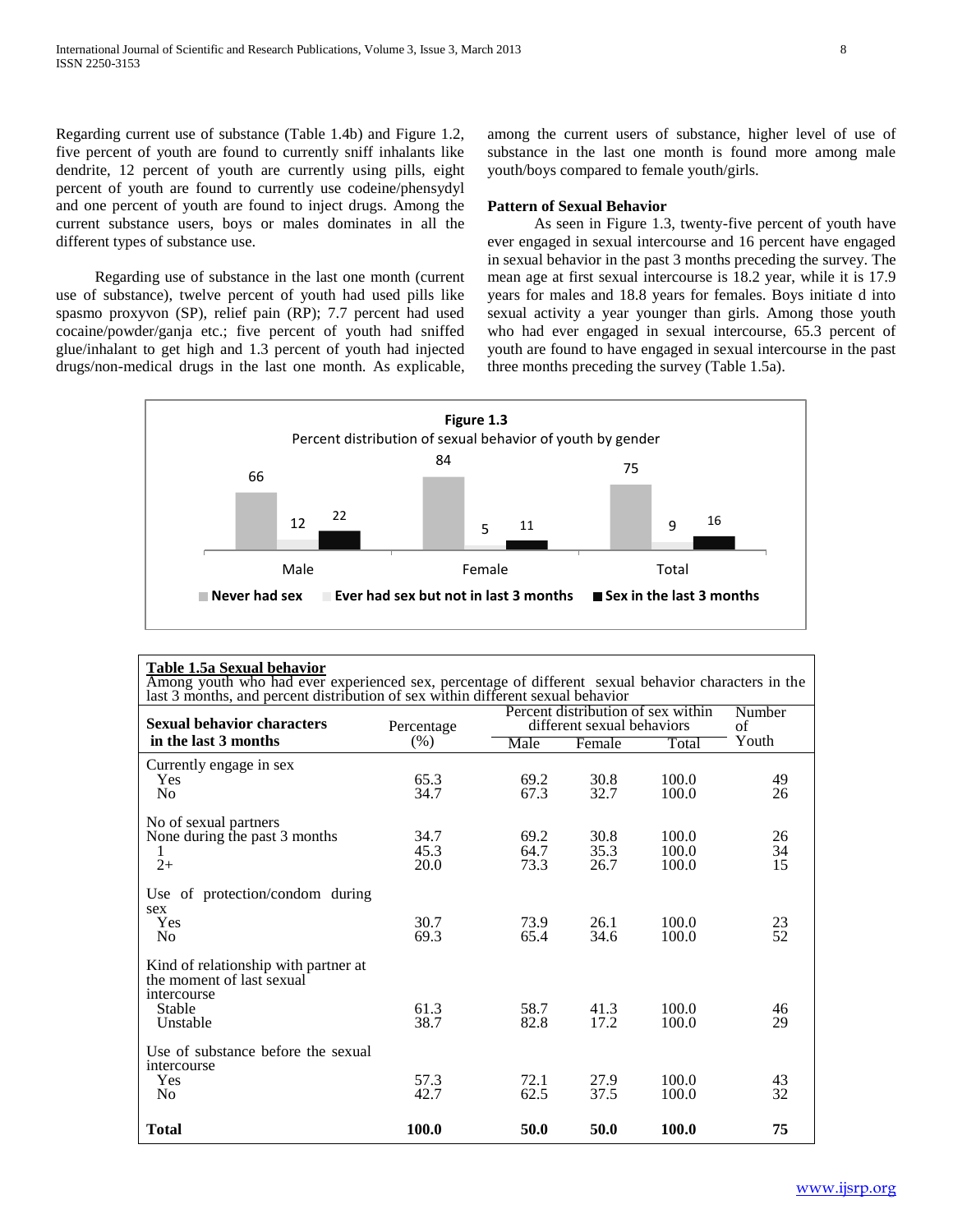Regarding current use of substance (Table 1.4b) and Figure 1.2, five percent of youth are found to currently sniff inhalants like dendrite, 12 percent of youth are currently using pills, eight percent of youth are found to currently use codeine/phensydyl and one percent of youth are found to inject drugs. Among the current substance users, boys or males dominates in all the different types of substance use.

 Regarding use of substance in the last one month (current use of substance), twelve percent of youth had used pills like spasmo proxyvon (SP), relief pain (RP); 7.7 percent had used cocaine/powder/ganja etc.; five percent of youth had sniffed glue/inhalant to get high and 1.3 percent of youth had injected drugs/non-medical drugs in the last one month. As explicable, among the current users of substance, higher level of use of substance in the last one month is found more among male youth/boys compared to female youth/girls.

### **Pattern of Sexual Behavior**

 As seen in Figure 1.3, twenty-five percent of youth have ever engaged in sexual intercourse and 16 percent have engaged in sexual behavior in the past 3 months preceding the survey. The mean age at first sexual intercourse is 18.2 year, while it is 17.9 years for males and 18.8 years for females. Boys initiate d into sexual activity a year younger than girls. Among those youth who had ever engaged in sexual intercourse, 65.3 percent of youth are found to have engaged in sexual intercourse in the past three months preceding the survey (Table 1.5a).



#### **Table 1.5a Sexual behavior**

Among youth who had ever experienced sex, percentage of different sexual behavior characters in the last 3 months, and percent distribution of sex within different sexual behavior

| <b>Sexual behavior characters</b>                                                                      | Percentage           | Percent distribution of sex within<br>different sexual behaviors | Number<br>οf         |                         |                |
|--------------------------------------------------------------------------------------------------------|----------------------|------------------------------------------------------------------|----------------------|-------------------------|----------------|
| in the last 3 months                                                                                   | (% )                 | Male                                                             | Female               | Total                   | Youth          |
| Currently engage in sex<br><b>Yes</b><br>N <sub>0</sub>                                                | 65.3<br>34.7         | 69.2<br>67.3                                                     | 30.8<br>32.7         | 100.0<br>100.0          | 49<br>26       |
| No of sexual partners<br>None during the past 3 months<br>1<br>$2+$                                    | 34.7<br>45.3<br>20.0 | 69.2<br>64.7<br>73.3                                             | 30.8<br>35.3<br>26.7 | 100.0<br>100.0<br>100.0 | 26<br>34<br>15 |
| Use of protection/condom during<br>sex<br>Yes<br>N <sub>0</sub>                                        | 30.7<br>69.3         | 73.9<br>65.4                                                     | 26.1<br>34.6         | 100.0<br>100.0          | 23<br>52       |
| Kind of relationship with partner at<br>the moment of last sexual<br>intercourse<br>Stable<br>Unstable | 61.3<br>38.7         | 58.7<br>82.8                                                     | 41.3<br>17.2         | 100.0<br>100.0          | 46<br>29       |
| Use of substance before the sexual<br>intercourse<br>Yes<br>N <sub>0</sub>                             | 57.3<br>42.7         | 72.1<br>62.5                                                     | 27.9<br>37.5         | 100.0<br>100.0          | 43<br>32       |
| <b>Total</b>                                                                                           | 100.0                | 50.0                                                             | 50.0                 | 100.0                   | 75             |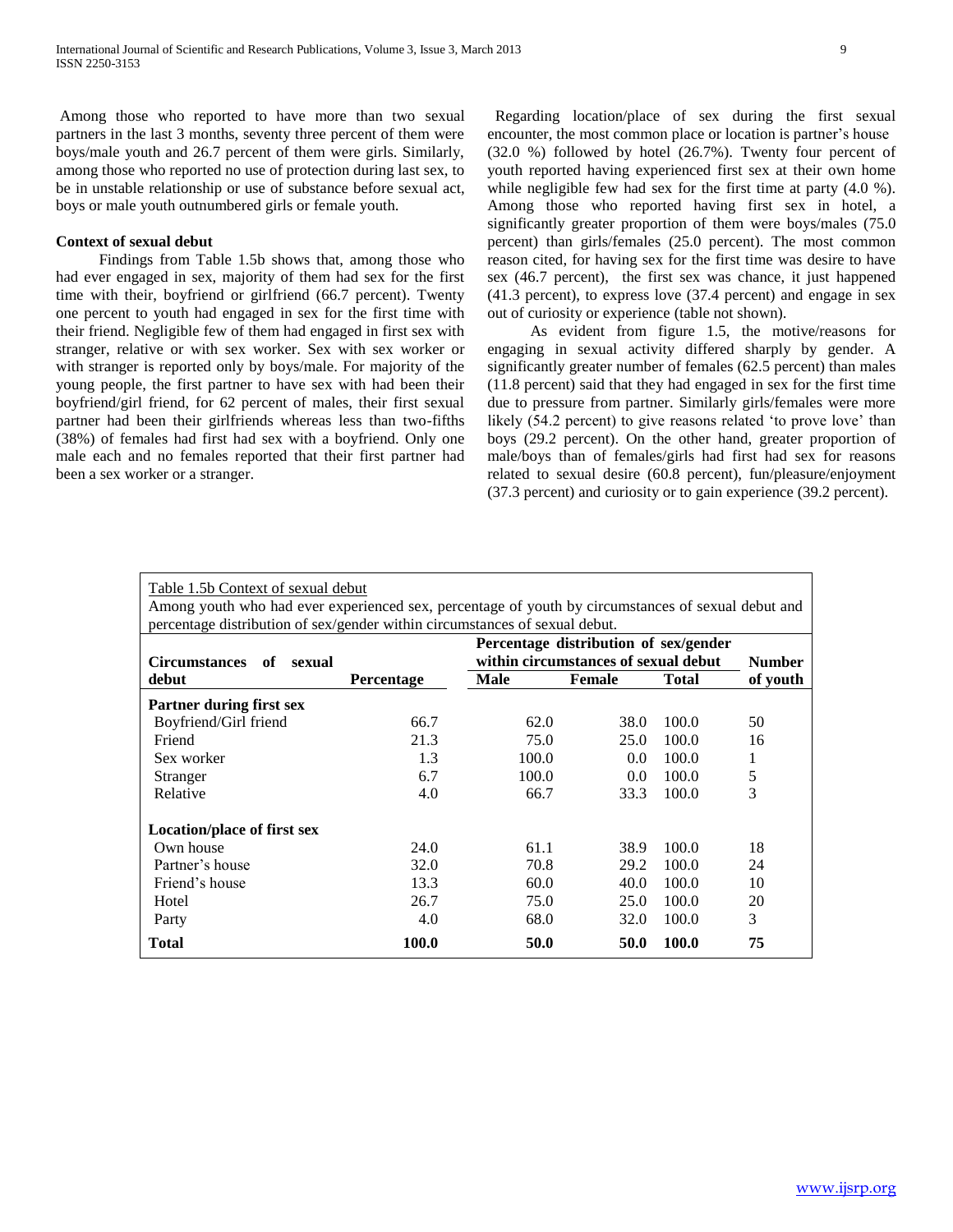Among those who reported to have more than two sexual partners in the last 3 months, seventy three percent of them were boys/male youth and 26.7 percent of them were girls. Similarly, among those who reported no use of protection during last sex, to be in unstable relationship or use of substance before sexual act, boys or male youth outnumbered girls or female youth.

# **Context of sexual debut**

 Findings from Table 1.5b shows that, among those who had ever engaged in sex, majority of them had sex for the first time with their, boyfriend or girlfriend (66.7 percent). Twenty one percent to youth had engaged in sex for the first time with their friend. Negligible few of them had engaged in first sex with stranger, relative or with sex worker. Sex with sex worker or with stranger is reported only by boys/male. For majority of the young people, the first partner to have sex with had been their boyfriend/girl friend, for 62 percent of males, their first sexual partner had been their girlfriends whereas less than two-fifths (38%) of females had first had sex with a boyfriend. Only one male each and no females reported that their first partner had been a sex worker or a stranger.

 Regarding location/place of sex during the first sexual encounter, the most common place or location is partner's house (32.0 %) followed by hotel (26.7%). Twenty four percent of youth reported having experienced first sex at their own home while negligible few had sex for the first time at party (4.0 %). Among those who reported having first sex in hotel, a significantly greater proportion of them were boys/males (75.0 percent) than girls/females (25.0 percent). The most common reason cited, for having sex for the first time was desire to have sex (46.7 percent), the first sex was chance, it just happened (41.3 percent), to express love (37.4 percent) and engage in sex out of curiosity or experience (table not shown).

 As evident from figure 1.5, the motive/reasons for engaging in sexual activity differed sharply by gender. A significantly greater number of females (62.5 percent) than males (11.8 percent) said that they had engaged in sex for the first time due to pressure from partner. Similarly girls/females were more likely (54.2 percent) to give reasons related 'to prove love' than boys (29.2 percent). On the other hand, greater proportion of male/boys than of females/girls had first had sex for reasons related to sexual desire (60.8 percent), fun/pleasure/enjoyment (37.3 percent) and curiosity or to gain experience (39.2 percent).

| Table 1.5b Context of sexual debut<br>Among youth who had ever experienced sex, percentage of youth by circumstances of sexual debut and<br>percentage distribution of sex/gender within circumstances of sexual debut. |                   |                                                                               |               |       |                           |  |
|-------------------------------------------------------------------------------------------------------------------------------------------------------------------------------------------------------------------------|-------------------|-------------------------------------------------------------------------------|---------------|-------|---------------------------|--|
|                                                                                                                                                                                                                         |                   | Percentage distribution of sex/gender<br>within circumstances of sexual debut |               |       |                           |  |
| <b>Circumstances</b><br>of<br>sexual<br>debut                                                                                                                                                                           | <b>Percentage</b> | <b>Male</b>                                                                   | <b>Female</b> | Total | <b>Number</b><br>of youth |  |
| Partner during first sex                                                                                                                                                                                                |                   |                                                                               |               |       |                           |  |
| Boyfriend/Girl friend                                                                                                                                                                                                   | 66.7              | 62.0                                                                          | 38.0          | 100.0 | 50                        |  |
| Friend                                                                                                                                                                                                                  | 21.3              | 75.0                                                                          | 25.0          | 100.0 | 16                        |  |
| Sex worker                                                                                                                                                                                                              | 1.3               | 100.0                                                                         | 0.0           | 100.0 | 1                         |  |
| Stranger                                                                                                                                                                                                                | 6.7               | 100.0                                                                         | 0.0           | 100.0 | 5                         |  |
| Relative                                                                                                                                                                                                                | 4.0               | 66.7                                                                          | 33.3          | 100.0 | 3                         |  |
| Location/place of first sex                                                                                                                                                                                             |                   |                                                                               |               |       |                           |  |
| Own house                                                                                                                                                                                                               | 24.0              | 61.1                                                                          | 38.9          | 100.0 | 18                        |  |
| Partner's house                                                                                                                                                                                                         | 32.0              | 70.8                                                                          | 29.2          | 100.0 | 24                        |  |
| Friend's house                                                                                                                                                                                                          | 13.3              | 60.0                                                                          | 40.0          | 100.0 | 10                        |  |
| Hotel                                                                                                                                                                                                                   | 26.7              | 75.0                                                                          | 25.0          | 100.0 | 20                        |  |
| Party                                                                                                                                                                                                                   | 4.0               | 68.0                                                                          | 32.0          | 100.0 | 3                         |  |
| <b>Total</b>                                                                                                                                                                                                            | 100.0             | 50.0                                                                          | 50.0          | 100.0 | 75                        |  |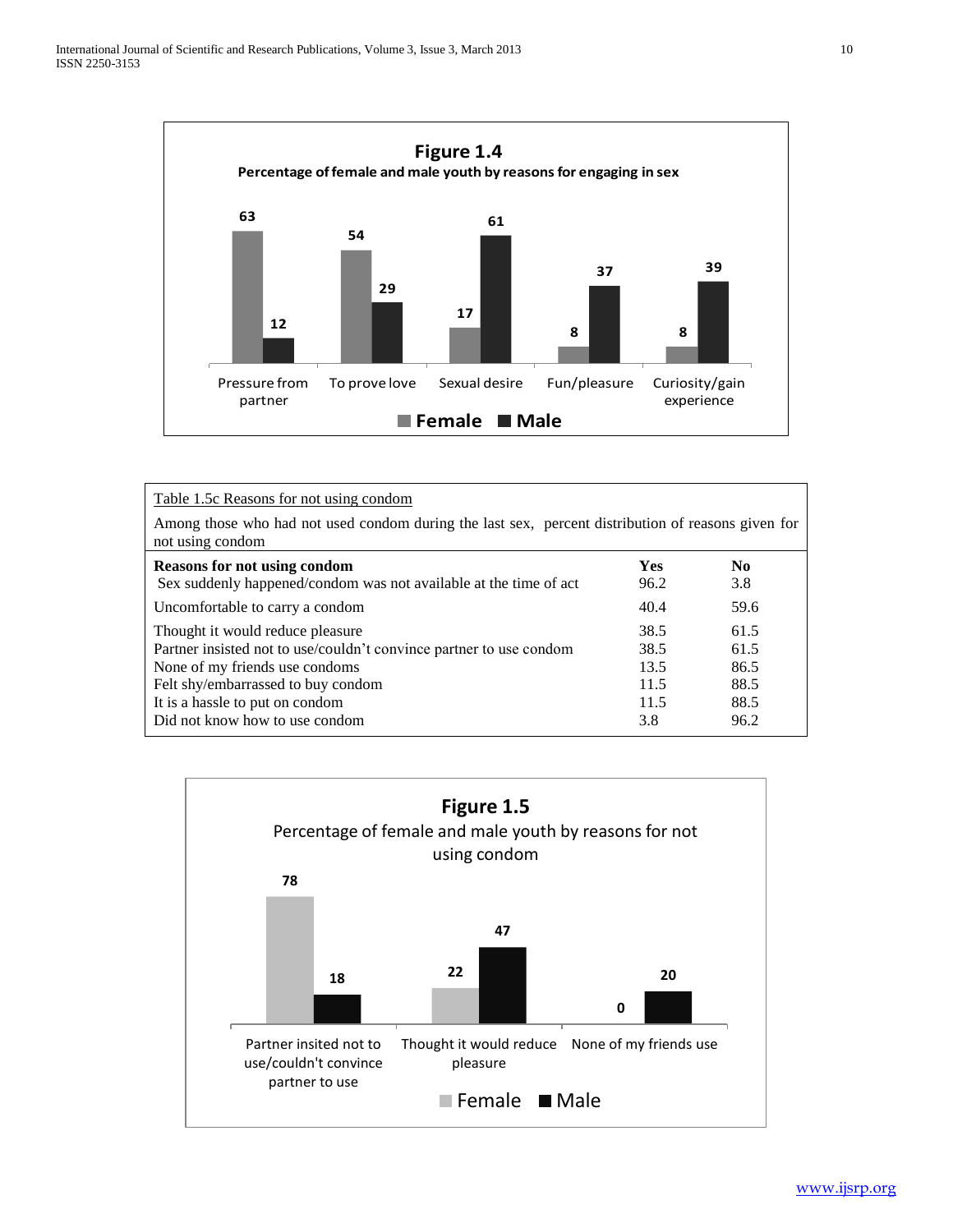

| Table 1.5c Reasons for not using condom                                                                                                                                                                                                              |                                             |                                              |  |  |  |  |  |
|------------------------------------------------------------------------------------------------------------------------------------------------------------------------------------------------------------------------------------------------------|---------------------------------------------|----------------------------------------------|--|--|--|--|--|
| Among those who had not used condom during the last sex, percent distribution of reasons given for<br>not using condom                                                                                                                               |                                             |                                              |  |  |  |  |  |
| <b>Reasons for not using condom</b><br>Sex suddenly happened/condom was not available at the time of act                                                                                                                                             | <b>Yes</b><br>96.2                          | No.<br>3.8                                   |  |  |  |  |  |
| Uncomfortable to carry a condom                                                                                                                                                                                                                      | 40.4                                        | 59.6                                         |  |  |  |  |  |
| Thought it would reduce pleasure<br>Partner insisted not to use/couldn't convince partner to use condom<br>None of my friends use condoms<br>Felt shy/embarrassed to buy condom<br>It is a hassle to put on condom<br>Did not know how to use condom | 38.5<br>38.5<br>13.5<br>11.5<br>11.5<br>3.8 | 61.5<br>61.5<br>86.5<br>88.5<br>88.5<br>96.2 |  |  |  |  |  |

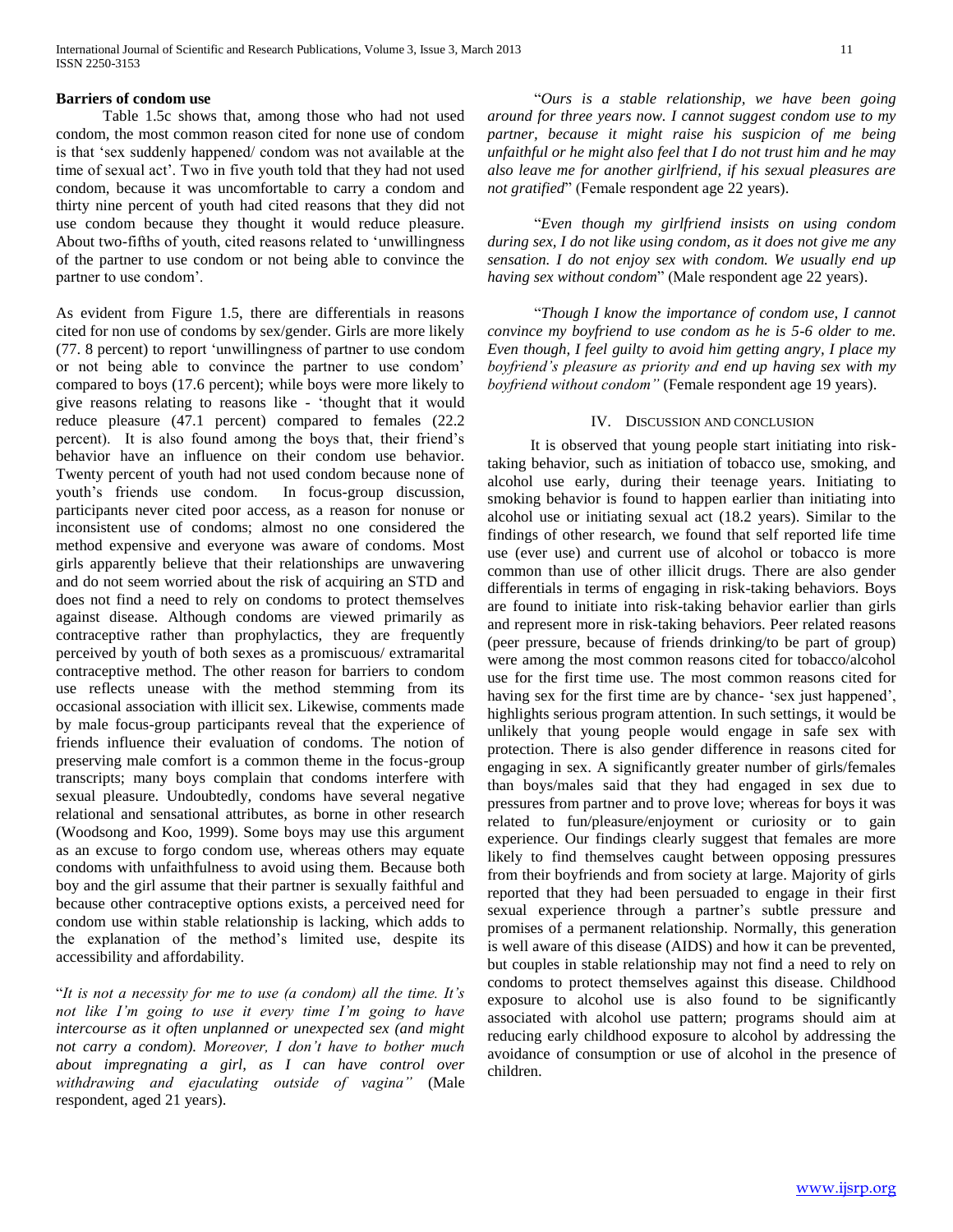# **Barriers of condom use**

 Table 1.5c shows that, among those who had not used condom, the most common reason cited for none use of condom is that 'sex suddenly happened/ condom was not available at the time of sexual act'. Two in five youth told that they had not used condom, because it was uncomfortable to carry a condom and thirty nine percent of youth had cited reasons that they did not use condom because they thought it would reduce pleasure. About two-fifths of youth, cited reasons related to 'unwillingness of the partner to use condom or not being able to convince the partner to use condom'.

As evident from Figure 1.5, there are differentials in reasons cited for non use of condoms by sex/gender. Girls are more likely (77. 8 percent) to report 'unwillingness of partner to use condom or not being able to convince the partner to use condom' compared to boys (17.6 percent); while boys were more likely to give reasons relating to reasons like - 'thought that it would reduce pleasure (47.1 percent) compared to females (22.2 percent). It is also found among the boys that, their friend's behavior have an influence on their condom use behavior. Twenty percent of youth had not used condom because none of youth's friends use condom. In focus-group discussion, participants never cited poor access, as a reason for nonuse or inconsistent use of condoms; almost no one considered the method expensive and everyone was aware of condoms. Most girls apparently believe that their relationships are unwavering and do not seem worried about the risk of acquiring an STD and does not find a need to rely on condoms to protect themselves against disease. Although condoms are viewed primarily as contraceptive rather than prophylactics, they are frequently perceived by youth of both sexes as a promiscuous/ extramarital contraceptive method. The other reason for barriers to condom use reflects unease with the method stemming from its occasional association with illicit sex. Likewise, comments made by male focus-group participants reveal that the experience of friends influence their evaluation of condoms. The notion of preserving male comfort is a common theme in the focus-group transcripts; many boys complain that condoms interfere with sexual pleasure. Undoubtedly, condoms have several negative relational and sensational attributes, as borne in other research (Woodsong and Koo, 1999). Some boys may use this argument as an excuse to forgo condom use, whereas others may equate condoms with unfaithfulness to avoid using them. Because both boy and the girl assume that their partner is sexually faithful and because other contraceptive options exists, a perceived need for condom use within stable relationship is lacking, which adds to the explanation of the method's limited use, despite its accessibility and affordability.

"*It is not a necessity for me to use (a condom) all the time. It's not like I'm going to use it every time I'm going to have intercourse as it often unplanned or unexpected sex (and might not carry a condom). Moreover, I don't have to bother much about impregnating a girl, as I can have control over withdrawing and ejaculating outside of vagina"* (Male respondent, aged 21 years).

 "*Ours is a stable relationship, we have been going around for three years now. I cannot suggest condom use to my partner, because it might raise his suspicion of me being unfaithful or he might also feel that I do not trust him and he may also leave me for another girlfriend, if his sexual pleasures are not gratified*" (Female respondent age 22 years).

 "*Even though my girlfriend insists on using condom during sex, I do not like using condom, as it does not give me any sensation. I do not enjoy sex with condom. We usually end up having sex without condom*" (Male respondent age 22 years).

 "*Though I know the importance of condom use, I cannot convince my boyfriend to use condom as he is 5-6 older to me. Even though, I feel guilty to avoid him getting angry, I place my boyfriend's pleasure as priority and end up having sex with my boyfriend without condom"* (Female respondent age 19 years).

### IV. DISCUSSION AND CONCLUSION

 It is observed that young people start initiating into risktaking behavior, such as initiation of tobacco use, smoking, and alcohol use early, during their teenage years. Initiating to smoking behavior is found to happen earlier than initiating into alcohol use or initiating sexual act (18.2 years). Similar to the findings of other research, we found that self reported life time use (ever use) and current use of alcohol or tobacco is more common than use of other illicit drugs. There are also gender differentials in terms of engaging in risk-taking behaviors. Boys are found to initiate into risk-taking behavior earlier than girls and represent more in risk-taking behaviors. Peer related reasons (peer pressure, because of friends drinking/to be part of group) were among the most common reasons cited for tobacco/alcohol use for the first time use. The most common reasons cited for having sex for the first time are by chance- 'sex just happened', highlights serious program attention. In such settings, it would be unlikely that young people would engage in safe sex with protection. There is also gender difference in reasons cited for engaging in sex. A significantly greater number of girls/females than boys/males said that they had engaged in sex due to pressures from partner and to prove love; whereas for boys it was related to fun/pleasure/enjoyment or curiosity or to gain experience. Our findings clearly suggest that females are more likely to find themselves caught between opposing pressures from their boyfriends and from society at large. Majority of girls reported that they had been persuaded to engage in their first sexual experience through a partner's subtle pressure and promises of a permanent relationship. Normally, this generation is well aware of this disease (AIDS) and how it can be prevented, but couples in stable relationship may not find a need to rely on condoms to protect themselves against this disease. Childhood exposure to alcohol use is also found to be significantly associated with alcohol use pattern; programs should aim at reducing early childhood exposure to alcohol by addressing the avoidance of consumption or use of alcohol in the presence of children.